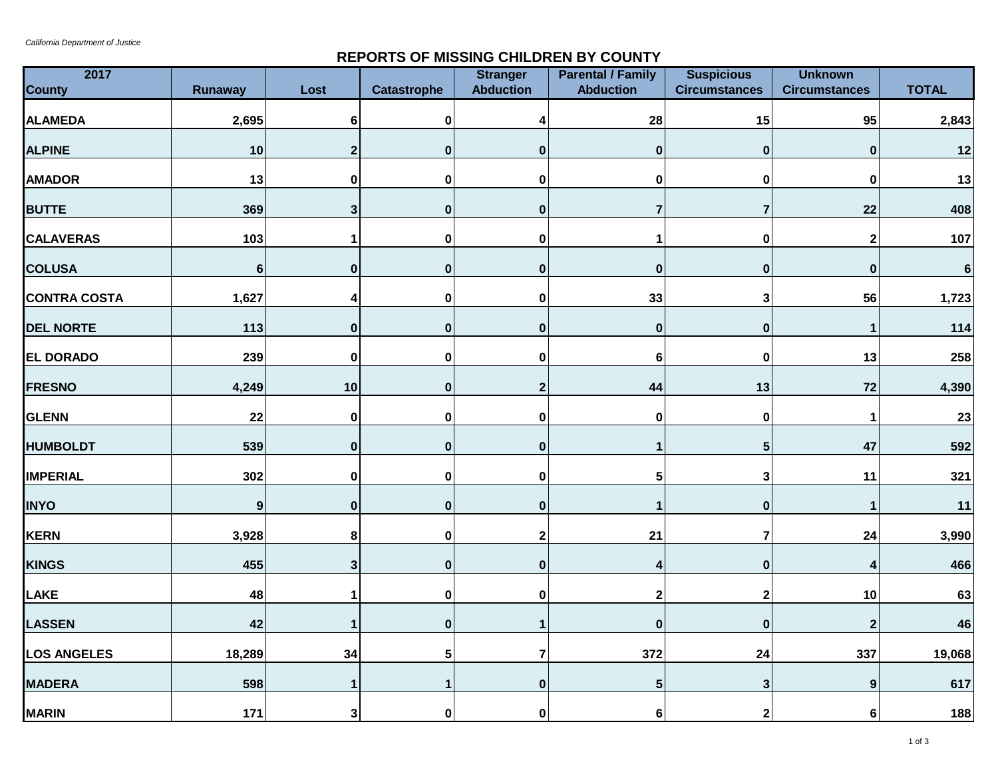## **REPORTS OF MISSING CHILDREN BY COUNTY**

| 2017<br><b>County</b> | <b>Runaway</b>   | Lost         | <b>Catastrophe</b> | <b>Stranger</b><br><b>Abduction</b> | <b>Parental / Family</b><br><b>Abduction</b> | <b>Suspicious</b><br><b>Circumstances</b> | <b>Unknown</b><br><b>Circumstances</b> | <b>TOTAL</b> |
|-----------------------|------------------|--------------|--------------------|-------------------------------------|----------------------------------------------|-------------------------------------------|----------------------------------------|--------------|
| <b>ALAMEDA</b>        | 2,695            | 6            | 0                  | Δ                                   | 28                                           | 15                                        | 95                                     | 2,843        |
|                       |                  |              |                    |                                     |                                              |                                           |                                        |              |
| <b>ALPINE</b>         | $10$             | $\mathbf{2}$ | $\mathbf 0$        | $\mathbf 0$                         | $\mathbf 0$                                  | $\mathbf 0$                               | $\bf{0}$                               | 12           |
| <b>AMADOR</b>         | 13               | $\mathbf 0$  | $\mathbf{0}$       | $\bf{0}$                            | $\mathbf{0}$                                 | 0                                         | O                                      | 13           |
| <b>BUTTE</b>          | 369              | $\mathbf{3}$ | $\mathbf 0$        | $\bf{0}$                            | 7                                            | $\overline{7}$                            | 22                                     | 408          |
| <b>CALAVERAS</b>      | 103              | 1            | 0                  | $\bf{0}$                            | 1                                            | $\pmb{0}$                                 | $\mathbf{2}$                           | 107          |
| <b>COLUSA</b>         | $6\phantom{a}$   | $\bf{0}$     | $\mathbf{0}$       | $\mathbf 0$                         | $\mathbf{0}$                                 | $\mathbf{0}$                              | $\bf{0}$                               | $\bf 6$      |
| <b>CONTRA COSTA</b>   | 1,627            | 4            | $\pmb{0}$          | $\bf{0}$                            | 33                                           | $\mathbf{3}$                              | 56                                     | 1,723        |
| <b>DEL NORTE</b>      | 113              | $\bf{0}$     | 0                  | $\bf{0}$                            | $\mathbf 0$                                  | $\mathbf 0$                               |                                        | 114          |
| <b>EL DORADO</b>      | 239              | $\bf{0}$     | $\mathbf{0}$       | $\mathbf 0$                         | 6                                            | 0                                         | 13                                     | 258          |
| <b>FRESNO</b>         | 4,249            | $10$         | $\mathbf{0}$       | $\overline{2}$                      | 44                                           | 13                                        | 72                                     | 4,390        |
| <b>GLENN</b>          | 22               | $\pmb{0}$    | 0                  | $\bf{0}$                            | 0                                            | $\pmb{0}$                                 | 1                                      | 23           |
| <b>HUMBOLDT</b>       | 539              | $\pmb{0}$    | $\mathbf{0}$       | $\mathbf 0$                         | 1                                            | $5\phantom{.0}$                           | 47                                     | 592          |
| <b>IMPERIAL</b>       | 302              | $\mathbf 0$  | $\mathbf{0}$       | $\mathbf 0$                         | 5                                            | $\mathbf{3}$                              | 11                                     | 321          |
| <b>INYO</b>           | $\boldsymbol{9}$ | $\bf{0}$     | 0                  | $\mathbf 0$                         | 1                                            | $\mathbf 0$                               | 1                                      | 11           |
| <b>KERN</b>           | 3,928            | 8            | 0                  | $\overline{2}$                      | 21                                           | $\overline{\mathbf{r}}$                   | 24                                     | 3,990        |
| <b>KINGS</b>          | 455              | 3            | $\mathbf{0}$       | $\bf{0}$                            | 4                                            | $\mathbf{0}$                              |                                        | 466          |
| <b>LAKE</b>           | 48               | 1            | 0                  | $\bf{0}$                            | $\overline{\mathbf{2}}$                      | $\mathbf 2$                               | 10                                     | 63           |
| <b>LASSEN</b>         | 42               |              | $\mathbf{0}$       | 1                                   | $\mathbf 0$                                  | $\pmb{0}$                                 | $\mathbf{2}$                           | 46           |
| <b>LOS ANGELES</b>    | 18,289           | 34           | 5                  | 7                                   | 372                                          | 24                                        | 337                                    | 19,068       |
| <b>MADERA</b>         | 598              | $\mathbf{1}$ | $\mathbf{1}$       | $\bf{0}$                            | 5                                            | $\mathbf{3}$                              | 9                                      | 617          |
| <b>MARIN</b>          | 171              | $\mathbf{3}$ | 0                  | $\bf{0}$                            | 6                                            | $\mathbf{2}$                              | 6                                      | 188          |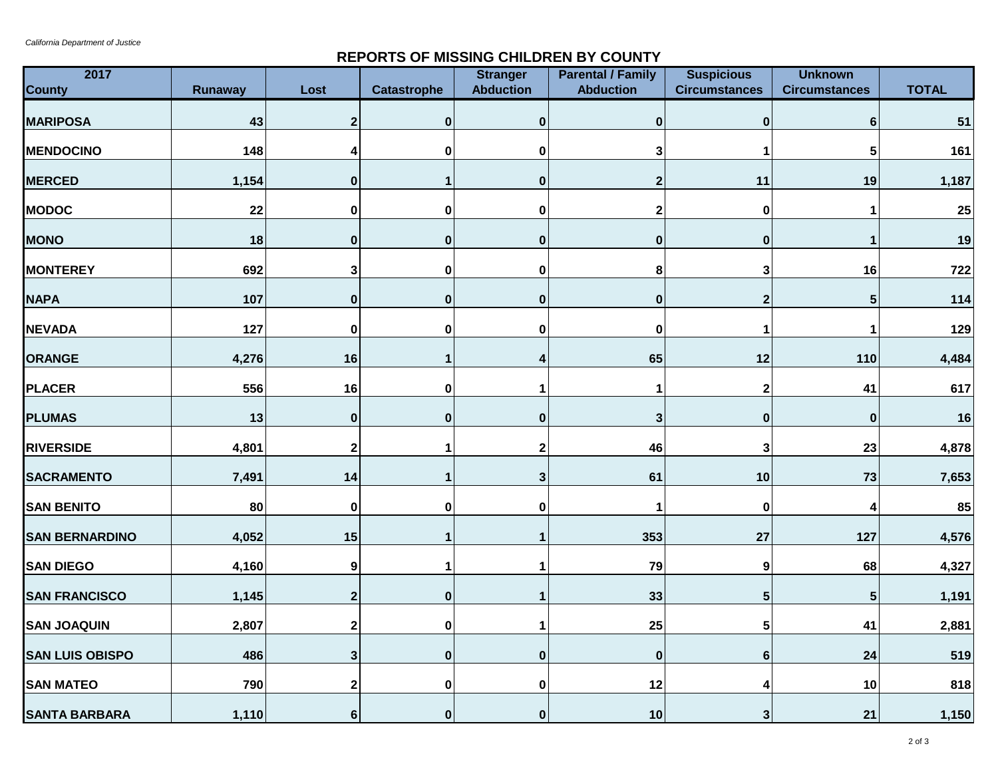## **REPORTS OF MISSING CHILDREN BY COUNTY**

| 2017<br><b>County</b>  | <b>Runaway</b> | Lost         | <b>Catastrophe</b> | <b>Stranger</b><br><b>Abduction</b> | <b>Parental / Family</b><br><b>Abduction</b> | <b>Suspicious</b><br><b>Circumstances</b> | <b>Unknown</b><br><b>Circumstances</b> | <b>TOTAL</b> |
|------------------------|----------------|--------------|--------------------|-------------------------------------|----------------------------------------------|-------------------------------------------|----------------------------------------|--------------|
| <b>MARIPOSA</b>        | 43             | $\mathbf 2$  | $\bf{0}$           | $\bf{0}$                            | 0                                            | $\mathbf 0$                               | 6                                      | 51           |
| <b>MENDOCINO</b>       | 148            | 4            | 0                  | 0                                   | 3                                            | -1                                        | 5                                      | 161          |
| <b>MERCED</b>          | 1,154          | $\mathbf 0$  |                    | $\pmb{0}$                           | $\overline{\mathbf{2}}$                      | 11                                        | 19                                     | 1,187        |
| <b>MODOC</b>           | 22             | 0            | 0                  | 0                                   | 2                                            | $\mathbf 0$                               |                                        | 25           |
| <b>MONO</b>            | 18             | 0            | $\mathbf 0$        | $\bf{0}$                            | 0                                            | $\pmb{0}$                                 |                                        | 19           |
| <b>MONTEREY</b>        | 692            | 3            | $\mathbf 0$        | $\mathbf 0$                         | 8                                            | 3                                         | 16                                     | 722          |
| <b>NAPA</b>            | 107            | $\mathbf 0$  | $\mathbf 0$        | $\pmb{0}$                           | $\pmb{0}$                                    | $\mathbf{2}$                              | 5                                      | 114          |
| <b>NEVADA</b>          | 127            | 0            | $\pmb{0}$          | 0                                   | 0                                            | 1                                         |                                        | 129          |
| <b>ORANGE</b>          | 4,276          | 16           |                    | 4                                   | 65                                           | $12$                                      | 110                                    | 4,484        |
| <b>PLACER</b>          | 556            | 16           | $\pmb{0}$          | 1                                   | 1                                            | $\mathbf{2}$                              | 41                                     | 617          |
| <b>PLUMAS</b>          | 13             | $\pmb{0}$    | $\mathbf 0$        | $\pmb{0}$                           | 3                                            | $\pmb{0}$                                 | $\bf{0}$                               | 16           |
| <b>RIVERSIDE</b>       | 4,801          | 2            |                    | $\mathbf{2}$                        | 46                                           | 3                                         | 23                                     | 4,878        |
| <b>SACRAMENTO</b>      | 7,491          | 14           |                    | 3                                   | 61                                           | 10                                        | 73                                     | 7,653        |
| <b>SAN BENITO</b>      | 80             | 0            | 0                  | 0                                   | 1                                            | $\mathbf 0$                               |                                        | 85           |
| <b>SAN BERNARDINO</b>  | 4,052          | 15           |                    | $\mathbf 1$                         | 353                                          | 27                                        | 127                                    | 4,576        |
| <b>SAN DIEGO</b>       | 4,160          | 9            |                    | 1                                   | 79                                           | $\boldsymbol{9}$                          | 68                                     | 4,327        |
| <b>SAN FRANCISCO</b>   | 1,145          | $\mathbf{2}$ | $\mathbf{0}$       | 1                                   | 33                                           | $5\phantom{1}$                            | 5                                      | 1,191        |
| <b>SAN JOAQUIN</b>     | 2,807          | 2            | 0                  | 1                                   | 25                                           | 5                                         | 41                                     | 2,881        |
| <b>SAN LUIS OBISPO</b> | 486            | 3            | $\bf{0}$           | $\bf{0}$                            | $\bf{0}$                                     | 6                                         | 24                                     | 519          |
| <b>SAN MATEO</b>       | 790            | $\mathbf 2$  | $\mathbf 0$        | 0                                   | 12                                           | 4                                         | 10                                     | 818          |
| <b>SANTA BARBARA</b>   | 1,110          | 6            | 0                  | $\mathbf{0}$                        | 10                                           | 3 <sup>1</sup>                            | 21                                     | 1,150        |